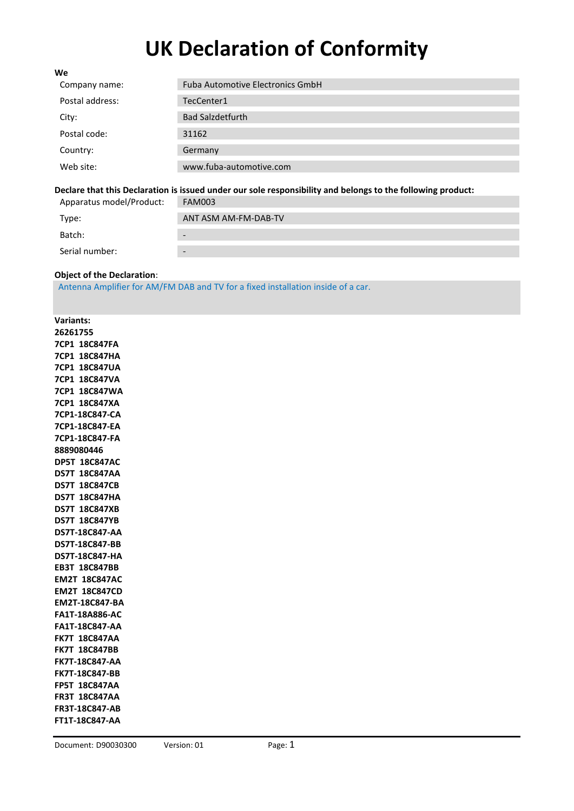## **UK Declaration of Conformity**

| <b>Fuba Automotive Electronics GmbH</b> |  |  |
|-----------------------------------------|--|--|
| TecCenter1                              |  |  |
| <b>Bad Salzdetfurth</b>                 |  |  |
| 31162                                   |  |  |
| Germany                                 |  |  |
| www.fuba-automotive.com                 |  |  |
|                                         |  |  |

## **Declare that this Declaration is issued under our sole responsibility and belongs to the following product:**

| Apparatus model/Product: | FAM003                   |
|--------------------------|--------------------------|
| Type:                    | ANT ASM AM-FM-DAB-TV     |
| Batch:                   | $\hskip1.6cm -$          |
| Serial number:           | $\overline{\phantom{a}}$ |

## **Object of the Declaration**:

Antenna Amplifier for AM/FM DAB and TV for a fixed installation inside of a car.

**Variants: 26261755 7CP1 18C847FA 7CP1 18C847HA 7CP1 18C847UA 7CP1 18C847VA 7CP1 18C847WA 7CP1 18C847XA 7CP1-18C847-CA 7CP1-18C847-EA 7CP1-18C847-FA 8889080446 DP5T 18C847AC DS7T 18C847AA DS7T 18C847CB DS7T 18C847HA DS7T 18C847XB DS7T 18C847YB DS7T-18C847-AA DS7T-18C847-BB DS7T-18C847-HA EB3T 18C847BB EM2T 18C847AC EM2T 18C847CD EM2T-18C847-BA FA1T-18A886-AC FA1T-18C847-AA FK7T 18C847AA FK7T 18C847BB FK7T-18C847-AA FK7T-18C847-BB FP5T 18C847AA FR3T 18C847AA FR3T-18C847-AB FT1T-18C847-AA**